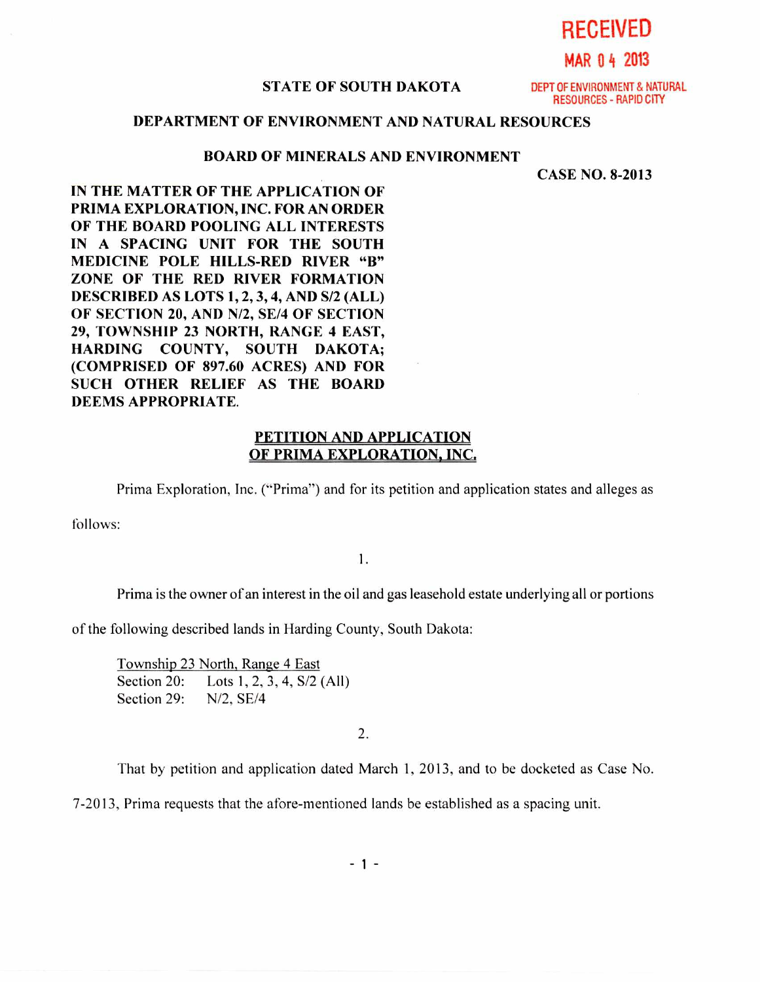**RECEIVED** 

**MAR 0 4 2013** 

#### **STATE OF SOUTH DAKOTA** DEPT OF ENVIRONMENT & NATURAL

RESOURCES - RAPID CITY

## **DEPARTMENT OF ENVIRONMENT AND NATURAL RESOURCES**

#### **BOARD OF MINERALS AND ENVIRONMENT**

**CASE NO. 8-2013** 

**IN THE MATTER OF THE APPLICATION OF PRIMA EXPLORATION, INC. FOR AN ORDER OF THE BOARD POOLING ALL INTERESTS IN A SPACING UNIT FOR THE SOUTH MEDICINE POLE HILLS-RED RIVER "B" ZONE OF THE RED RIVER FORMATION DESCRIBED AS LOTS 1, 2, 3, 4, AND S/2 (ALL) OF SECTION 20, AND N/2, SE/4 OF SECTION 29, TOWNSHIP 23 NORTH, RANGE 4 EAST, HARDING COUNTY, SOUTH DAKOTA; (COMPRISED OF 897.60 ACRES) AND FOR SUCH OTHER RELIEF AS THE BOARD DEEMS APPROPRIATE.** 

### **PETITION AND APPLICATION OF PRIMA EXPLORATION, INC,**

Prima Exploration, Inc. ("Prima") and for its petition and application states and alleges as

follows:

1.

Prima is the owner of an interest in the oil and gas leasehold estate underlying all or portions

of the following described lands in Harding County, South Dakota:

Township 23 North, Range 4 East Section 20: Lots 1, 2, 3, 4, S/2 (All) Section 29: N/2, SE/4

2.

That by petition and application dated March 1, 2013, and to be docketed as Case No.

7-2013, Prima requests that the afore-mentioned lands be established as a spacing unit.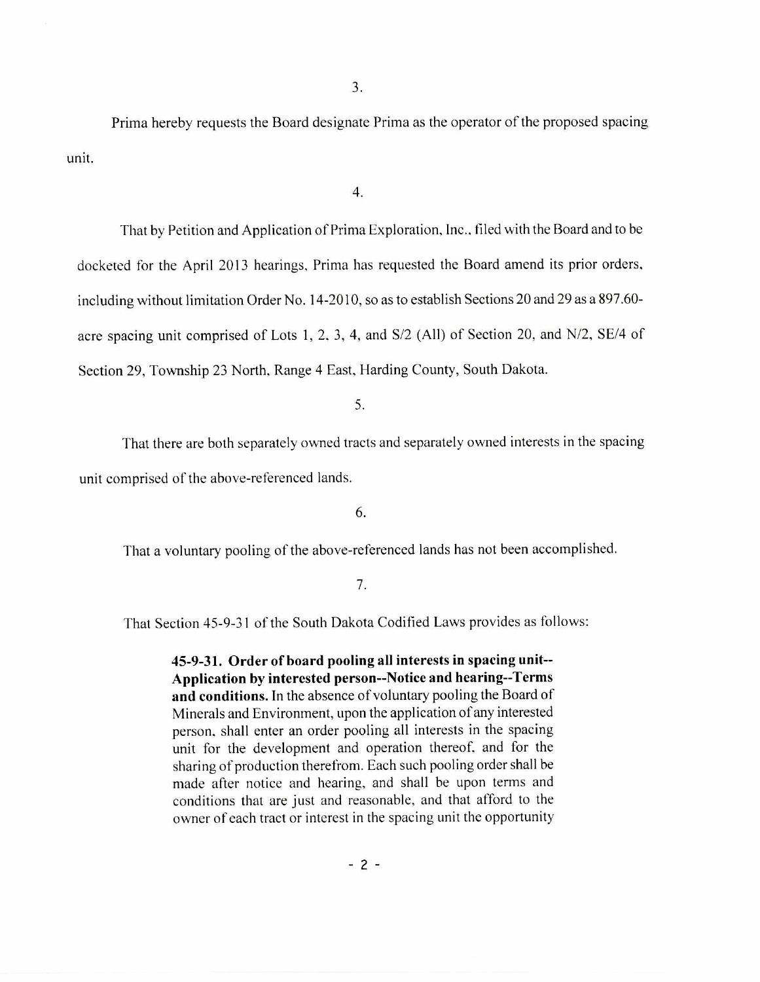Prima hereby requests the Board designate Prima as the operator of the proposed spacing unit.

4.

That by Petition and Application of Prima Exploration, Inc., filed with the Board and to be docketed for the April 2013 hearings, Prima has requested the Board amend its prior orders, including without limitation Order No. 14-2010, so as to establish Sections 20 and 29 as a 897.60 acre spacing unit comprised of Lots 1, 2, 3, 4, and S/2 (All) of Section 20, and N/2, SE/4 of Section 29, Township 23 North, Range 4 East, Harding County, South Dakota.

5.

That there are both separately owned tracts and separately owned interests in the spacing unit comprised of the above-referenced lands.

6.

That a voluntary pooling of the above-referenced lands has not been accomplished.

7.

That Section 45-9-31 of the South Dakota Codified Laws provides as follows:

**45-9-31. Order of board pooling all interests in spacing unit-- Application by interested person--Notice and hearing--Terms and conditions.** In the absence of voluntary pooling the Board of Minerals and Environment, upon the application of any interested person, shall enter an order pooling all interests in the spacing unit for the development and operation thereof, and for the sharing of production therefrom. Each such pooling order shall be made after notice and hearing, and shall be upon terms and conditions that are just and reasonable, and that afford to the owner of each tract or interest in the spacing unit the opportunity

 $-2 -$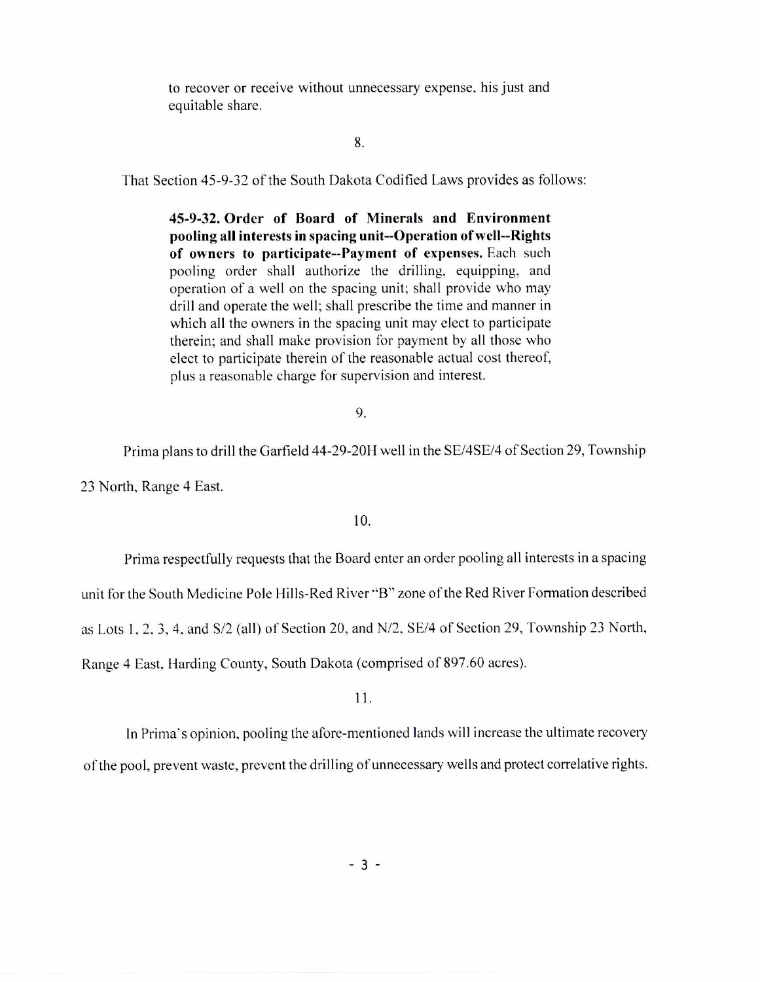to recover or receive without unnecessary expense, his just and equitable share.

### 8.

That Section 45-9-32 of the South Dakota Codified Laws provides as follows:

**45-9-32. Order of Board of Minerals and Environment pooling all interests in spacing unit--Operation of well--Rights of owners to participate--Payment of expenses.** Each such pooling order shall authorize the drilling, equipping, and operation of a well on the spacing unit; shall provide who may drill and operate the well; shall prescribe the time and manner in which all the owners in the spacing unit may elect to participate therein; and shall make provision for payment by all those who elect to participate therein of the reasonable actual cost thereof. plus a reasonable charge for supervision and interest.

9.

Prima plans to drill the Garfield 44-29-20H well in the SE/4SE/4 of Section 29, Township 23 North, Range 4 East.

10.

Prima respectfully requests that the Board enter an order pooling all interests in a spacing

unit for the South Medicine Pole Hills-Red River "B" zone of the Red River Formation described

as Lots **1,** 2. 3, 4. and S/2 (all) of Section 20, and N/2, SE/4 of Section 29, Township 23 North,

Range 4 East, Harding County, South Dakota (comprised of 897.60 acres).

# Ii.

In Prima's opinion, pooling the afore-mentioned lands will increase the ultimate recovery of the pool, prevent waste, prevent the drilling of unnecessary wells and protect correlative rights.